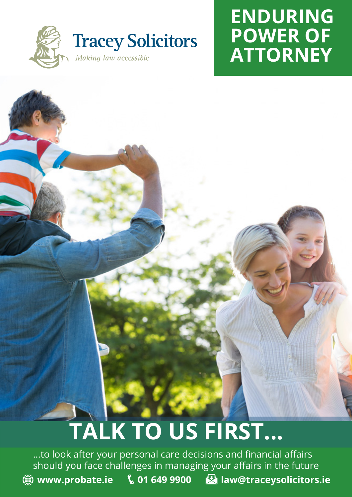

### **ENDURING POWER OF ATTORNEY**

# **TALK TO US FIRST...**

...to look after your personal care decisions and financial affairs should you face challenges in managing your affairs in the future **(4)** www.probate.ie \, 01 649 9900 **R** law@traceysolicitors.ie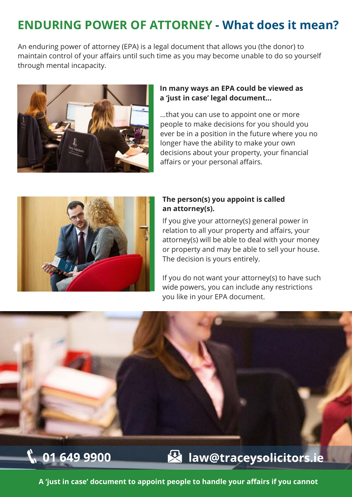### **ENDURING POWER OF ATTORNEY - What does it mean?**

An enduring power of attorney (EPA) is a legal document that allows you (the donor) to maintain control of your affairs until such time as you may become unable to do so yourself through mental incapacity.



#### **In many ways an EPA could be viewed as a 'just in case' legal document...**

...that you can use to appoint one or more people to make decisions for you should you ever be in a position in the future where you no longer have the ability to make your own decisions about your property, your financial affairs or your personal affairs.



#### **The person(s) you appoint is called an attorney(s).**

If you give your attorney(s) general power in relation to all your property and affairs, your attorney(s) will be able to deal with your money or property and may be able to sell your house. The decision is yours entirely.

If you do not want your attorney(s) to have such wide powers, you can include any restrictions you like in your EPA document.



**A 'just in case' document to appoint people to handle your affairs if you cannot Peace of mind - you choose what decisions are made and by whom**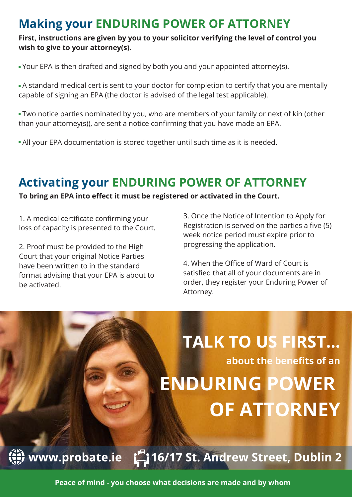### **Making your ENDURING POWER OF ATTORNEY**

**First, instructions are given by you to your solicitor verifying the level of control you wish to give to your attorney(s).**

Your EPA is then drafted and signed by both you and your appointed attorney(s).

 A standard medical cert is sent to your doctor for completion to certify that you are mentally capable of signing an EPA (the doctor is advised of the legal test applicable).

 Two notice parties nominated by you, who are members of your family or next of kin (other than your attorney(s)), are sent a notice confirming that you have made an EPA.

All your EPA documentation is stored together until such time as it is needed.

#### **Activating your ENDURING POWER OF ATTORNEY**

**To bring an EPA into effect it must be registered or activated in the Court.**

1. A medical certificate confirming your loss of capacity is presented to the Court.

2. Proof must be provided to the High Court that your original Notice Parties have been written to in the standard format advising that your EPA is about to be activated.

3. Once the Notice of Intention to Apply for Registration is served on the parties a five (5) week notice period must expire prior to progressing the application.

4. When the Office of Ward of Court is satisfied that all of your documents are in order, they register your Enduring Power of Attorney.

# **TALK TO US FIRST... about the benefits of an ENDURING POWER OF ATTORNEY**

16/17 St. Andrew Street, Dublin 2نے آ www.probate.ie

Peace of mind - you choose what decisions are made and by whom